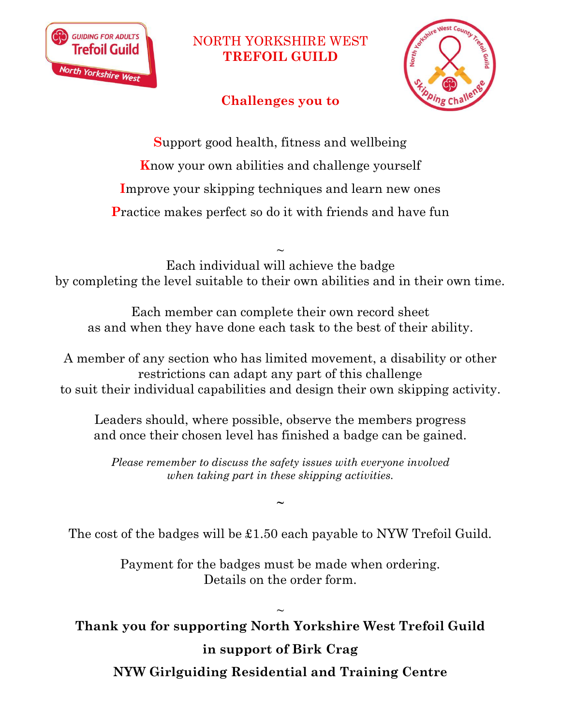

## NORTH YORKSHIRE WEST **TREFOIL GUILD**

## **Challenges you to**



**S**upport good health, fitness and wellbeing **K**now your own abilities and challenge yourself **I**mprove your skipping techniques and learn new ones **P**ractice makes perfect so do it with friends and have fun

 $\sim$ Each individual will achieve the badge by completing the level suitable to their own abilities and in their own time.

Each member can complete their own record sheet as and when they have done each task to the best of their ability.

A member of any section who has limited movement, a disability or other restrictions can adapt any part of this challenge to suit their individual capabilities and design their own skipping activity.

Leaders should, where possible, observe the members progress and once their chosen level has finished a badge can be gained.

*Please remember to discuss the safety issues with everyone involved when taking part in these skipping activities.*

**~**

The cost of the badges will be £1.50 each payable to NYW Trefoil Guild.

Payment for the badges must be made when ordering. Details on the order form.

 $\sim$ **Thank you for supporting North Yorkshire West Trefoil Guild** 

## **in support of Birk Crag**

**NYW Girlguiding Residential and Training Centre**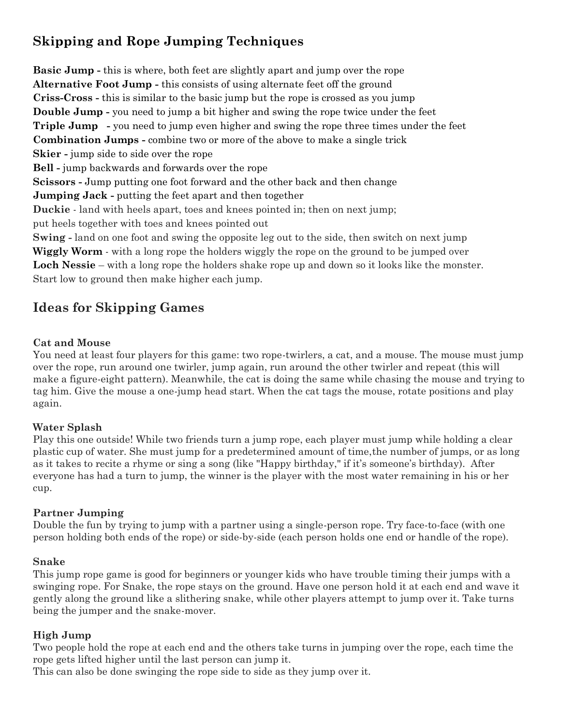# **Skipping and Rope Jumping Techniques**

**Basic Jump -** this is where, both feet are slightly apart and jump over the rope **Alternative Foot Jump -** this consists of using alternate feet off the ground **Criss-Cross -** this is similar to the basic jump but the rope is crossed as you jump **Double Jump -** you need to jump a bit higher and swing the rope twice under the feet **Triple Jump -** you need to jump even higher and swing the rope three times under the feet **Combination Jumps -** combine two or more of the above to make a single trick **Skier -** jump side to side over the rope **Bell -** jump backwards and forwards over the rope **Scissors -** Jump putting one foot forward and the other back and then change **Jumping Jack -** putting the feet apart and then together **Duckie** - land with heels apart, toes and knees pointed in; then on next jump; put heels together with toes and knees pointed out **Swing -** land on one foot and swing the opposite leg out to the side, then switch on next jump **Wiggly Worm** - with a long rope the holders wiggly the rope on the ground to be jumped over **Loch Nessie** – with a long rope the holders shake rope up and down so it looks like the monster. Start low to ground then make higher each jump.

### **Ideas for Skipping Games**

### **Cat and Mouse**

You need at least four players for this game: two rope-twirlers, a cat, and a mouse. The mouse must jump over the rope, run around one twirler, jump again, run around the other twirler and repeat (this will make a figure-eight pattern). Meanwhile, the cat is doing the same while chasing the mouse and trying to tag him. Give the mouse a one-jump head start. When the cat tags the mouse, rotate positions and play again.

#### **Water Splash**

Play this one outside! While two friends turn a jump rope, each player must jump while holding a clear plastic cup of water. She must jump for a predetermined amount of time,the number of jumps, or as long as it takes to recite a rhyme or sing a song (like "Happy birthday," if it's someone's birthday). After everyone has had a turn to jump, the winner is the player with the most water remaining in his or her cup.

#### **Partner Jumping**

Double the fun by trying to jump with a partner using a single-person rope. Try face-to-face (with one person holding both ends of the rope) or side-by-side (each person holds one end or handle of the rope).

#### **Snake**

This jump rope game is good for beginners or younger kids who have trouble timing their jumps with a swinging rope. For Snake, the rope stays on the ground. Have one person hold it at each end and wave it gently along the ground like a slithering snake, while other players attempt to jump over it. Take turns being the jumper and the snake-mover.

#### **High Jump**

Two people hold the rope at each end and the others take turns in jumping over the rope, each time the rope gets lifted higher until the last person can jump it.

This can also be done swinging the rope side to side as they jump over it.